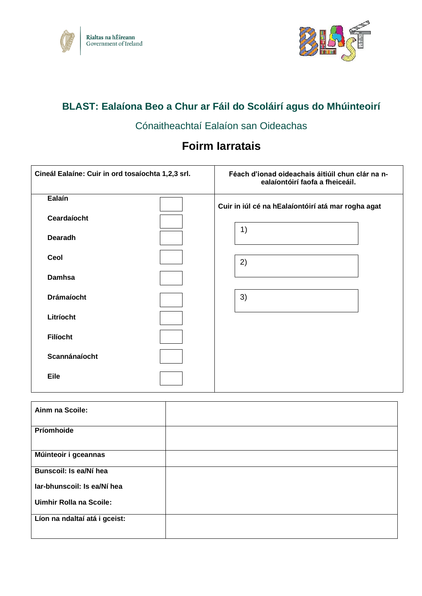



# **BLAST: Ealaíona Beo a Chur ar Fáil do Scoláirí agus do Mhúinteoirí**

# Cónaitheachtaí Ealaíon san Oideachas

# **Foirm Iarratais**

| Cineál Ealaíne: Cuir in ord tosaíochta 1,2,3 srl. | Féach d'ionad oideachais áitiúil chun clár na n-<br>ealaíontóirí faofa a fheiceáil. |
|---------------------------------------------------|-------------------------------------------------------------------------------------|
| Ealaín                                            | Cuir in iúl cé na hEalaíontóirí atá mar rogha agat                                  |
| Ceardaíocht                                       |                                                                                     |
| <b>Dearadh</b>                                    | 1)                                                                                  |
| Ceol                                              | 2)                                                                                  |
| <b>Damhsa</b>                                     |                                                                                     |
| <b>Drámaíocht</b>                                 | 3)                                                                                  |
| Litríocht                                         |                                                                                     |
| <b>Filíocht</b>                                   |                                                                                     |
| Scannánaíocht                                     |                                                                                     |
| Eile                                              |                                                                                     |

| Ainm na Scoile:                |  |
|--------------------------------|--|
| Príomhoide                     |  |
| Múinteoir i gceannas           |  |
| Bunscoil: Is ea/Ní hea         |  |
| lar-bhunscoil: Is ea/Ní hea    |  |
| <b>Uimhir Rolla na Scoile:</b> |  |
| Líon na ndaltaí atá i gceist:  |  |
|                                |  |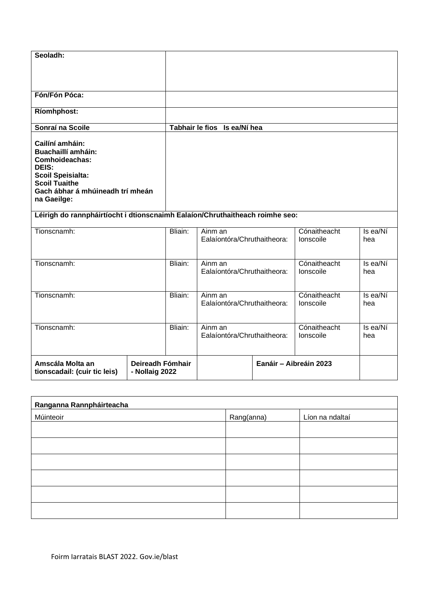| Seoladh:<br>Fón/Fón Póca:                                                                                                                                                             |         |                                        |                           |                 |  |
|---------------------------------------------------------------------------------------------------------------------------------------------------------------------------------------|---------|----------------------------------------|---------------------------|-----------------|--|
|                                                                                                                                                                                       |         |                                        |                           |                 |  |
| <b>Ríomhphost:</b>                                                                                                                                                                    |         |                                        |                           |                 |  |
| Sonraí na Scoile                                                                                                                                                                      |         | Tabhair le fios Is ea/Ní hea           |                           |                 |  |
| Cailíní amháin:<br><b>Buachaillí amháin:</b><br><b>Comhoideachas:</b><br>DEIS:<br><b>Scoil Speisialta:</b><br><b>Scoil Tuaithe</b><br>Gach ábhar á mhúineadh trí mheán<br>na Gaeilge: |         |                                        |                           |                 |  |
| Léirigh do rannpháirtíocht i dtionscnaimh Ealaíon/Chruthaitheach roimhe seo:                                                                                                          |         |                                        |                           |                 |  |
| Tionscnamh:                                                                                                                                                                           | Bliain: | Ainm an<br>Ealaíontóra/Chruthaitheora: | Cónaitheacht<br>Ionscoile | Is ea/Ní<br>hea |  |
| Tionscnamh:                                                                                                                                                                           | Bliain: | Ainm an<br>Ealaíontóra/Chruthaitheora: | Cónaitheacht<br>Ionscoile | Is ea/Ní<br>hea |  |

| Tionscnamh:                                      |                                    | Bliain: | Ainm an<br>Ealaíontóra/Chruthaitheora: |                        | Cónaitheacht<br>Ionscoile | Is ea/Ní<br>hea |
|--------------------------------------------------|------------------------------------|---------|----------------------------------------|------------------------|---------------------------|-----------------|
| Amscála Molta an<br>tionscadail: (cuir tic leis) | Deireadh Fómhair<br>- Nollaig 2022 |         |                                        | Eanáir - Aibreáin 2023 |                           |                 |

Ealaíontóra/Chruthaitheora:

**Cónaitheacht** Ionscoile

Is ea/Ní hea

| Ranganna Rannpháirteacha |            |                 |  |  |  |
|--------------------------|------------|-----------------|--|--|--|
| Múinteoir                | Rang(anna) | Líon na ndaltaí |  |  |  |
|                          |            |                 |  |  |  |
|                          |            |                 |  |  |  |
|                          |            |                 |  |  |  |
|                          |            |                 |  |  |  |
|                          |            |                 |  |  |  |
|                          |            |                 |  |  |  |

Tionscnamh: Bliain: Ainm an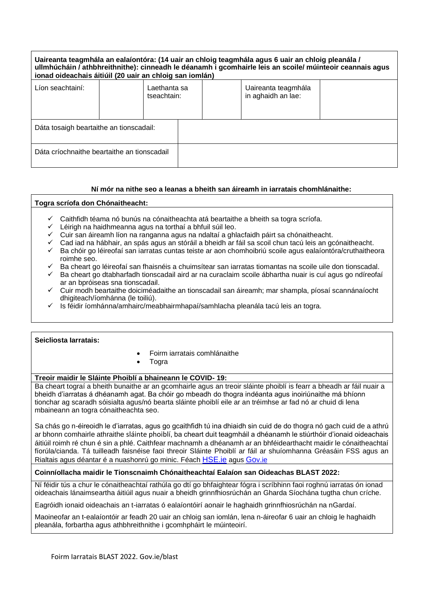| Uaireanta teagmhála an ealaíontóra: (14 uair an chloig teagmhála agus 6 uair an chloig pleanála /<br>ullmhúcháin / athbhreithnithe): cinneadh le déanamh i gcomhairle leis an scoile/ múinteoir ceannais agus<br>ionad oideachais áitiúil (20 uair an chloig san iomlán) |  |                             |  |  |                                           |  |
|--------------------------------------------------------------------------------------------------------------------------------------------------------------------------------------------------------------------------------------------------------------------------|--|-----------------------------|--|--|-------------------------------------------|--|
| Líon seachtainí:                                                                                                                                                                                                                                                         |  | Laethanta sa<br>tseachtain: |  |  | Uaireanta teagmhála<br>in aghaidh an lae: |  |
| Dáta tosaigh beartaithe an tionscadail:                                                                                                                                                                                                                                  |  |                             |  |  |                                           |  |
| Dáta críochnaithe beartaithe an tionscadail                                                                                                                                                                                                                              |  |                             |  |  |                                           |  |

## **Ní mór na nithe seo a leanas a bheith san áireamh in iarratais chomhlánaithe:**

#### **Togra scríofa don Chónaitheacht:**

- Caithfidh téama nó bunús na cónaitheachta atá beartaithe a bheith sa togra scríofa.
- ✓ Léirigh na haidhmeanna agus na torthaí a bhfuil súil leo.
- ✓ Cuir san áireamh líon na ranganna agus na ndaltaí a ghlacfaidh páirt sa chónaitheacht.
- Cad iad na hábhair, an spás agus an stóráil a bheidh ar fáil sa scoil chun tacú leis an gcónaitheacht.
- Ba chóir go léireofaí san iarratas cuntas teiste ar aon chomhoibriú scoile agus ealaíontóra/cruthaitheora roimhe seo.
- Ba cheart go léireofaí san fhaisnéis a chuimsítear san iarratas tiomantas na scoile uile don tionscadal.
- Ba cheart go dtabharfadh tionscadail aird ar na curaclaim scoile ábhartha nuair is cuí agus go ndíreofaí ar an bpróiseas sna tionscadail.
- ✓ Cuir modh beartaithe doiciméadaithe an tionscadail san áireamh; mar shampla, píosaí scannánaíocht dhigiteach/íomhánna (le toiliú).
- Is féidir íomhánna/amhairc/meabhairmhapaí/samhlacha pleanála tacú leis an togra.

#### **Seicliosta Iarratais:**

- Foirm iarratais comhlánaithe
- **Togra**

### **Treoir maidir le Sláinte Phoiblí a bhaineann le COVID- 19:**

Ba cheart tograí a bheith bunaithe ar an gcomhairle agus an treoir sláinte phoiblí is fearr a bheadh ar fáil nuair a bheidh d'iarratas á dhéanamh agat. Ba chóir go mbeadh do thogra indéanta agus inoiriúnaithe má bhíonn tionchar ag scaradh sóisialta agus/nó bearta sláinte phoiblí eile ar an tréimhse ar fad nó ar chuid di lena mbaineann an togra cónaitheachta seo.

Sa chás go n-éireoidh le d'iarratas, agus go gcaithfidh tú ina dhiaidh sin cuid de do thogra nó gach cuid de a athrú ar bhonn comhairle athraithe sláinte phoiblí, ba cheart duit teagmháil a dhéanamh le stiúrthóir d'ionaid oideachais áitiúil roimh ré chun é sin a phlé. Caithfear machnamh a dhéanamh ar an bhféidearthacht maidir le cónaitheachtaí fíorúla/cianda. Tá tuilleadh faisnéise faoi threoir Sláinte Phoiblí ar fáil ar shuíomhanna Gréasáin FSS agus an Rialtais agus déantar é a nuashonrú go minic. Féach [HSE.ie](https://www.hse.ie/eng/) agus [Go](https://www.gov.ie/en/)v.ie

## **Coinníollacha maidir le Tionscnaimh Chónaitheachtaí Ealaíon san Oideachas BLAST 2022:**

Ní féidir tús a chur le cónaitheachtaí rathúla go dtí go bhfaightear fógra i scríbhinn faoi roghnú iarratas ón ionad oideachais lánaimseartha áitiúil agus nuair a bheidh grinnfhiosrúchán an Gharda Síochána tugtha chun críche.

Eagróidh ionaid oideachais an t-iarratas ó ealaíontóirí aonair le haghaidh grinnfhiosrúchán na nGardaí.

Maoineofar an t-ealaíontóir ar feadh 20 uair an chloig san iomlán, lena n-áireofar 6 uair an chloig le haghaidh pleanála, forbartha agus athbhreithnithe i gcomhpháirt le múinteoirí.